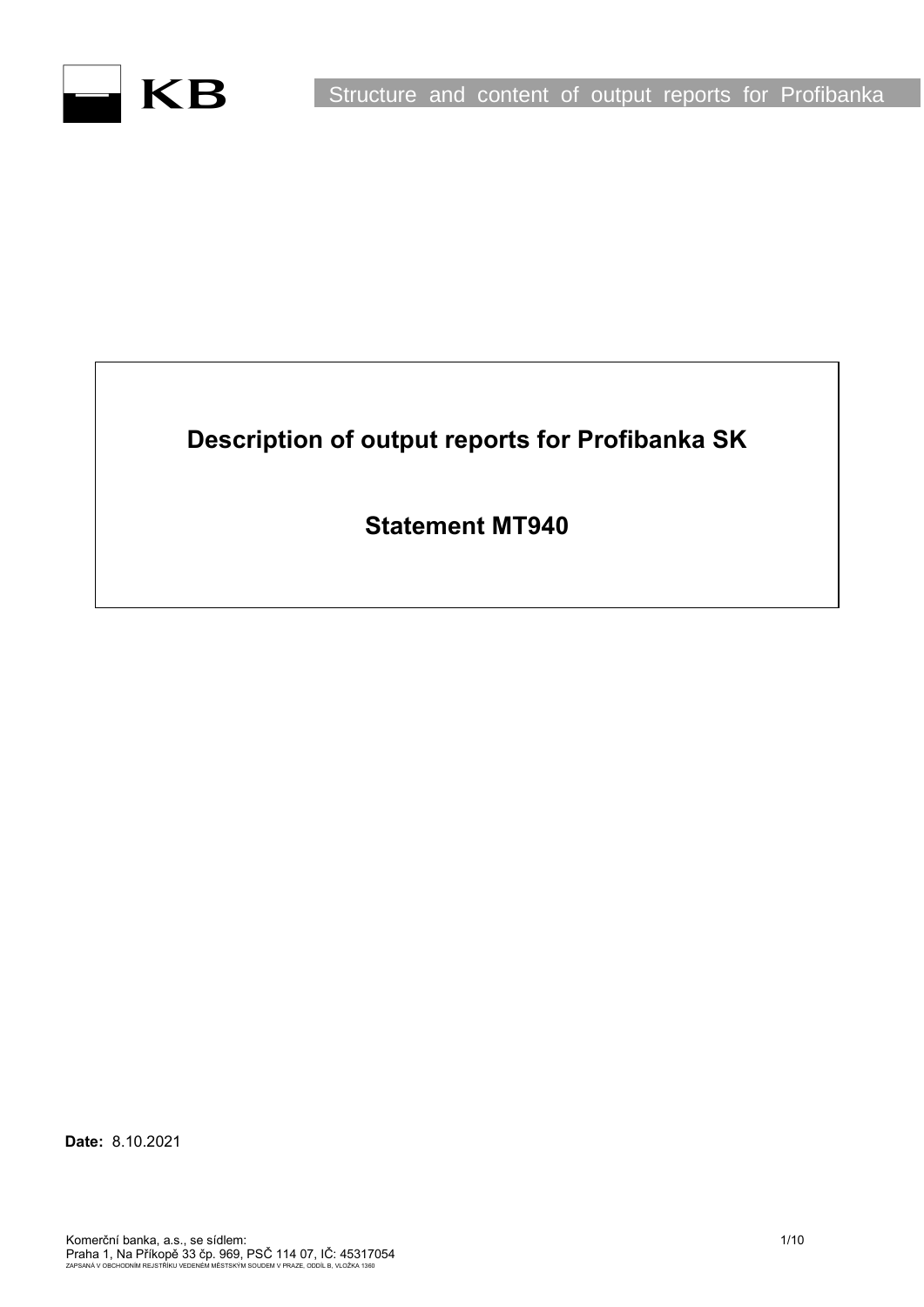# **Description of output reports for Profibanka SK**

**Statement MT940**

**Date:** 8.10.2021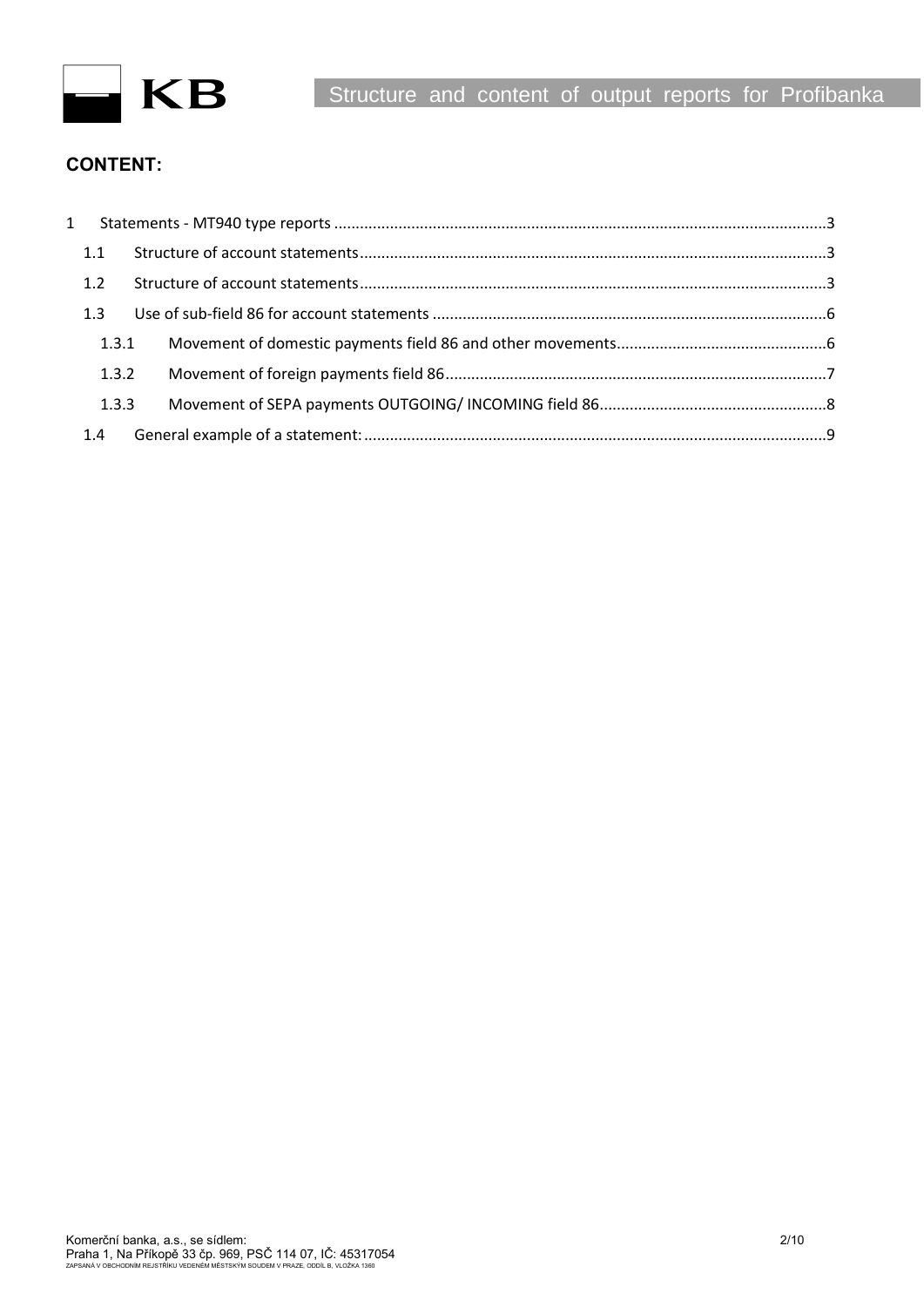

## **CONTENT:**

| $1 \quad$ |  |  |
|-----------|--|--|
| 1.1       |  |  |
| 1.2       |  |  |
| 1.3       |  |  |
| 1.3.1     |  |  |
| 1.3.2     |  |  |
| 1.3.3     |  |  |
| 1.4       |  |  |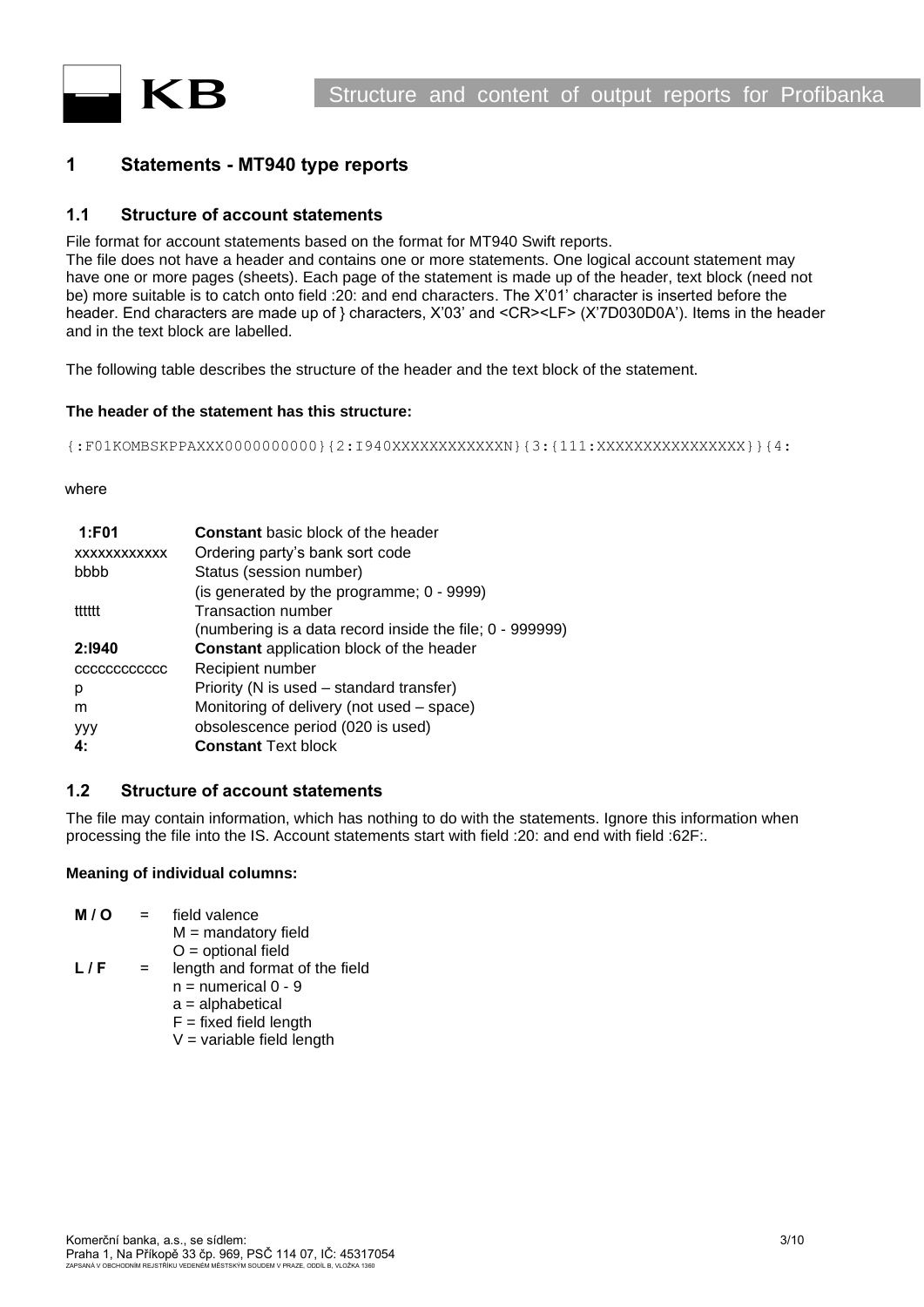

## <span id="page-2-0"></span>**1 Statements - MT940 type reports**

## <span id="page-2-1"></span>**1.1 Structure of account statements**

File format for account statements based on the format for MT940 Swift reports.

The file does not have a header and contains one or more statements. One logical account statement may have one or more pages (sheets). Each page of the statement is made up of the header, text block (need not be) more suitable is to catch onto field :20: and end characters. The X'01' character is inserted before the header. End characters are made up of } characters, X'03' and <CR><LF> (X'7D030D0A'). Items in the header and in the text block are labelled.

The following table describes the structure of the header and the text block of the statement.

#### **The header of the statement has this structure:**

{:F01KOMBSKPPAXXX0000000000}{2:I940XXXXXXXXXXXXN}{3:{111:XXXXXXXXXXXXXXXX}}{4:

#### where

| 1:FO1               | <b>Constant</b> basic block of the header                |
|---------------------|----------------------------------------------------------|
| <b>XXXXXXXXXXXX</b> | Ordering party's bank sort code                          |
| bbbb                | Status (session number)                                  |
|                     | (is generated by the programme; 0 - 9999)                |
| tttttt              | <b>Transaction number</b>                                |
|                     | (numbering is a data record inside the file; 0 - 999999) |
| 2:1940              | <b>Constant</b> application block of the header          |
| CCCCCCCCCCCC        | Recipient number                                         |
| р                   | Priority (N is used - standard transfer)                 |
| m                   | Monitoring of delivery (not used - space)                |
| <b>YYY</b>          | obsolescence period (020 is used)                        |
| 4:                  | <b>Constant Text block</b>                               |

## <span id="page-2-2"></span>**1.2 Structure of account statements**

The file may contain information, which has nothing to do with the statements. Ignore this information when processing the file into the IS. Account statements start with field :20: and end with field :62F:.

#### **Meaning of individual columns:**

| M/O | $=$ | field valence                  |
|-----|-----|--------------------------------|
|     |     | $M =$ mandatory field          |
|     |     | $O =$ optional field           |
| L/F | $=$ | length and format of the field |
|     |     | $n =$ numerical 0 - 9          |
|     |     | $a =$ alphabetical             |
|     |     | $F = fixed field length$       |
|     |     | $V =$ variable field length    |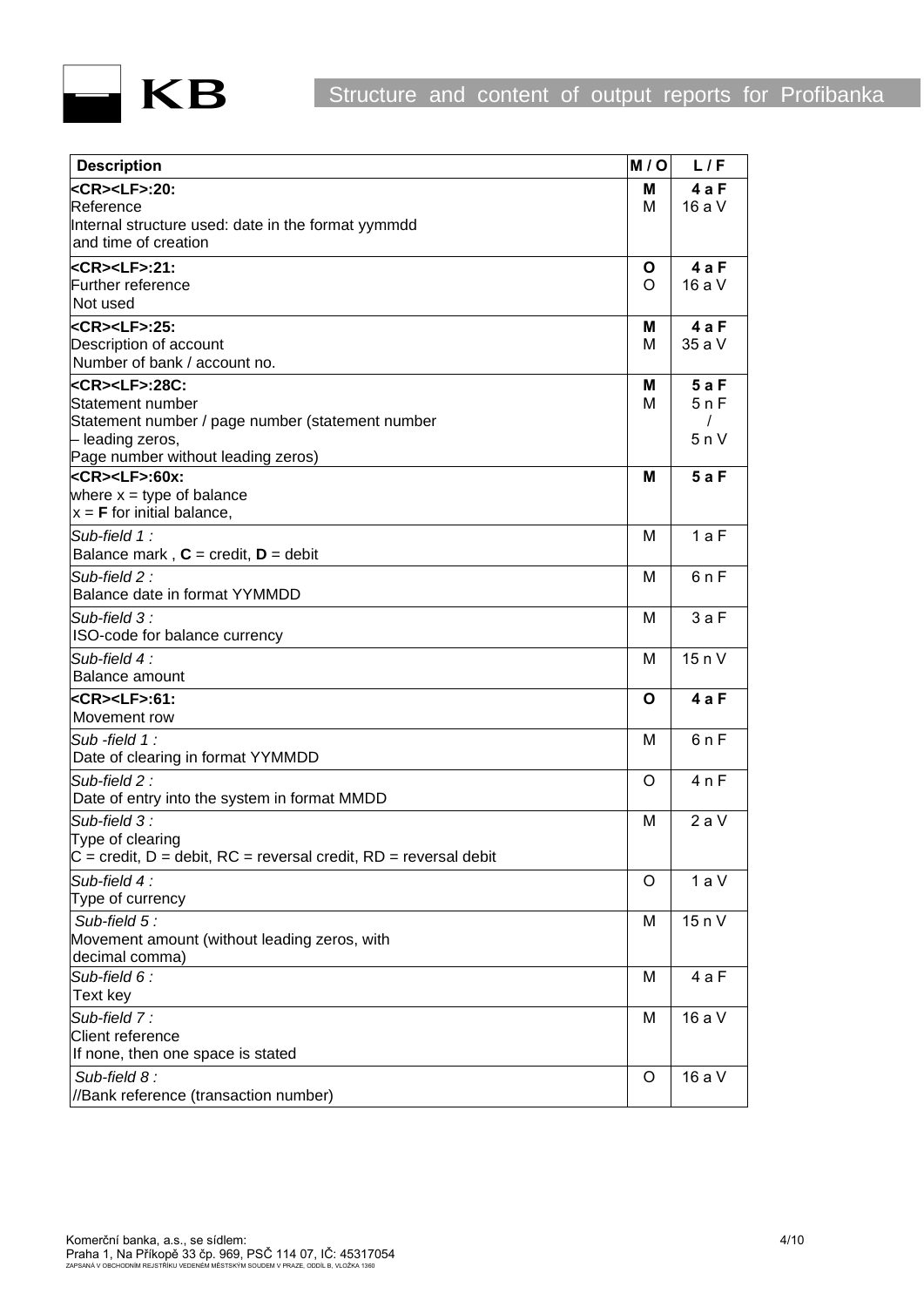

| <b>Description</b>                                                            | M/O    | L/F        |
|-------------------------------------------------------------------------------|--------|------------|
| <b>kCR&gt;<lf>:20:</lf></b>                                                   | М      | 4 a F      |
| Reference                                                                     | М      | 16 a V     |
| Internal structure used: date in the format yymmdd                            |        |            |
| and time of creation                                                          |        |            |
| <cr><lf>:21:</lf></cr>                                                        | Ο      | 4aF        |
| Further reference                                                             | O      | 16 a V     |
| Not used                                                                      |        |            |
| <b>kCR&gt;<lf>:25:</lf></b>                                                   | Μ      | 4aF        |
| Description of account<br>Number of bank / account no.                        | М      | 35 a V     |
|                                                                               |        |            |
| kCR> <lf>:28C:<br/>Statement number</lf>                                      | м<br>М | 5aF<br>5nF |
| Statement number / page number (statement number                              |        | $\prime$   |
| - leading zeros,                                                              |        | 5nV        |
| Page number without leading zeros)                                            |        |            |
| <cr><lf>:60x:</lf></cr>                                                       | М      | 5aF        |
| where $x = type$ of balance                                                   |        |            |
| $x = F$ for initial balance,                                                  |        |            |
| Sub-field 1:                                                                  | М      | 1aF        |
| Balance mark, $C = \text{credit}, D = \text{debit}$                           |        |            |
| Sub-field $2$ :                                                               | М      | 6nF        |
| Balance date in format YYMMDD                                                 |        |            |
| Sub-field 3:                                                                  | M      | 3aF        |
| ISO-code for balance currency                                                 |        |            |
| Sub-field 4:                                                                  | М      | 15 n V     |
| <b>Balance amount</b>                                                         |        |            |
| kCR> <lf>:61:</lf>                                                            | O      | 4 a F      |
| Movement row                                                                  |        |            |
| Sub-field $1$ :<br>Date of clearing in format YYMMDD                          | М      | 6nF        |
| Sub-field $2:$                                                                | O      | 4nF        |
| Date of entry into the system in format MMDD                                  |        |            |
| Sub-field $3$ :                                                               | М      | 2aV        |
| Type of clearing                                                              |        |            |
| $\overline{C}$ = credit, D = debit, RC = reversal credit, RD = reversal debit |        |            |
| Sub-field 4:                                                                  | O      | 1aV        |
| Type of currency                                                              |        |            |
| Sub-field 5:                                                                  | M      | 15 n V     |
| Movement amount (without leading zeros, with                                  |        |            |
| decimal comma)                                                                |        |            |
| Sub-field $6$ :                                                               | M      | 4 a F      |
| Text key                                                                      |        |            |
| Sub-field 7:                                                                  | M      | 16 a V     |
| <b>Client reference</b>                                                       |        |            |
| If none, then one space is stated                                             |        |            |
| Sub-field 8:                                                                  | O      | 16 a V     |
| //Bank reference (transaction number)                                         |        |            |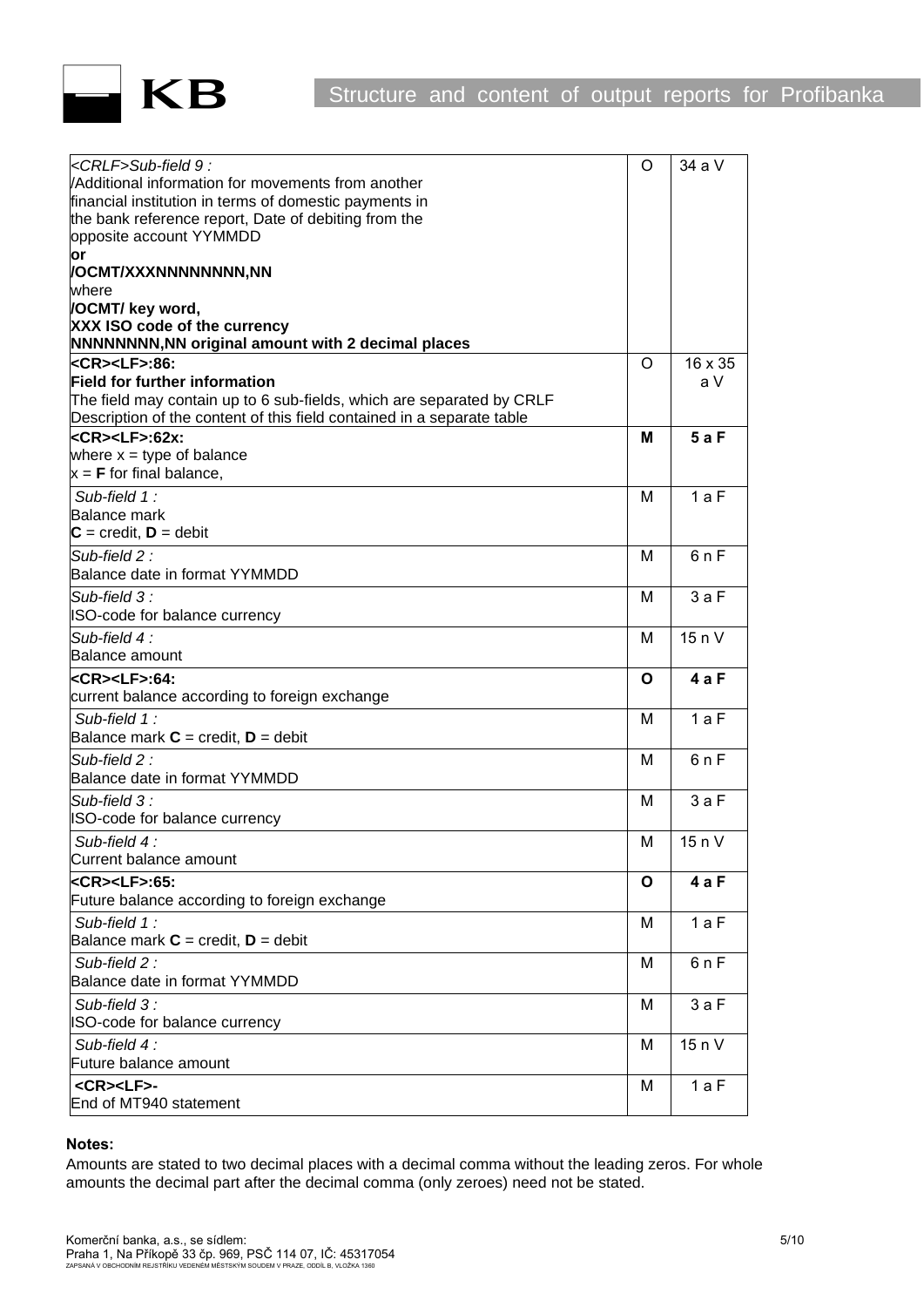

| <crlf>Sub-field 9:</crlf>                                              | O | 34 a V  |
|------------------------------------------------------------------------|---|---------|
| VAdditional information for movements from another                     |   |         |
| financial institution in terms of domestic payments in                 |   |         |
| the bank reference report, Date of debiting from the                   |   |         |
| opposite account YYMMDD                                                |   |         |
| or                                                                     |   |         |
| /OCMT/XXXNNNNNNNN,NN                                                   |   |         |
| where                                                                  |   |         |
| <b>OCMT/ key word,</b><br>XXX ISO code of the currency                 |   |         |
| <b>NNNNNNNN, NN original amount with 2 decimal places</b>              |   |         |
| <cr><lf>:86:</lf></cr>                                                 | O | 16 x 35 |
| <b>Field for further information</b>                                   |   | a V     |
| The field may contain up to 6 sub-fields, which are separated by CRLF  |   |         |
| Description of the content of this field contained in a separate table |   |         |
| <cr><lf>:62x:</lf></cr>                                                | м | 5aF     |
| where $x = type$ of balance                                            |   |         |
| $x = F$ for final balance,                                             |   |         |
|                                                                        |   |         |
| Sub-field 1:<br><b>Balance mark</b>                                    | М | 1aF     |
| $C = \text{credit}, D = \text{debit}$                                  |   |         |
|                                                                        |   |         |
| Sub-field 2:                                                           | М | 6nF     |
| Balance date in format YYMMDD                                          |   |         |
| Sub-field 3:                                                           | м | 3aF     |
| ISO-code for balance currency                                          |   |         |
| Sub-field $4$ :                                                        | м | 15nV    |
| <b>Balance amount</b>                                                  |   |         |
| <b><cr><lf>:64:</lf></cr></b>                                          | O | 4 a F   |
| current balance according to foreign exchange                          |   |         |
| Sub-field 1:                                                           | м | 1aF     |
| Balance mark $C = \text{credit}, D = \text{debit}$                     |   |         |
| $Sub$ -field 2 :                                                       | М | 6nF     |
| Balance date in format YYMMDD                                          |   |         |
| $Sub-field.3:$                                                         | м | 3aF     |
| ISO-code for balance currency                                          |   |         |
|                                                                        |   |         |
| Sub-field 4:                                                           | м | 15 n V  |
| Current balance amount                                                 |   |         |
| <cr><lf>:65:</lf></cr>                                                 | O | 4 a F   |
| Future balance according to foreign exchange                           |   |         |
| Sub-field 1:                                                           | M | 1aF     |
| Balance mark $C = \text{credit}, D = \text{debit}$                     |   |         |
| Sub-field 2:                                                           | M | 6 n F   |
| Balance date in format YYMMDD                                          |   |         |
| Sub-field 3:                                                           | M | 3aF     |
| ISO-code for balance currency                                          |   |         |
| Sub-field $4$ :                                                        | M | 15 n V  |
| Future balance amount                                                  |   |         |
| <cr><lf>-</lf></cr>                                                    | M | 1 a F   |
| End of MT940 statement                                                 |   |         |
|                                                                        |   |         |

#### **Notes:**

Amounts are stated to two decimal places with a decimal comma without the leading zeros. For whole amounts the decimal part after the decimal comma (only zeroes) need not be stated.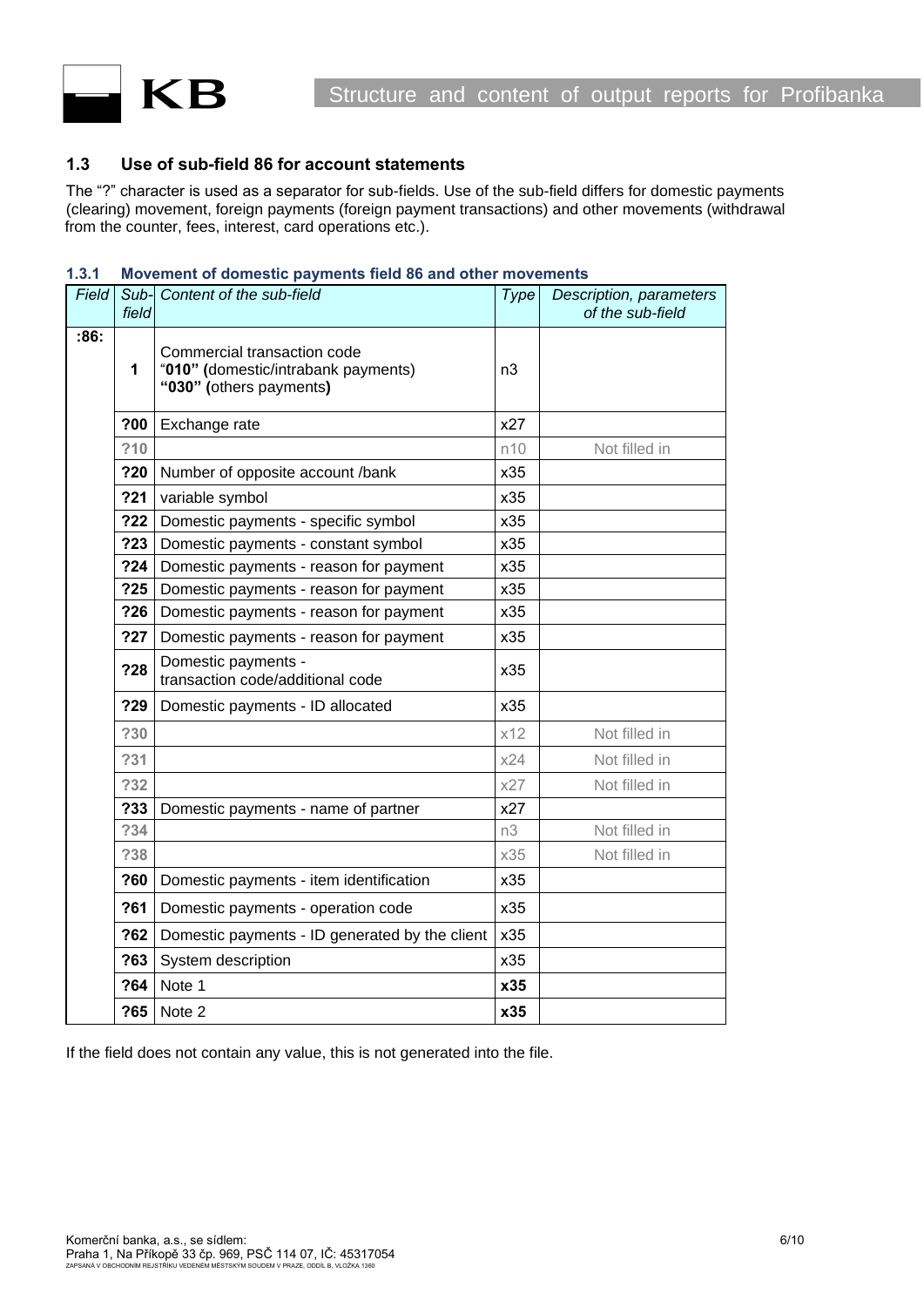

## <span id="page-5-0"></span>**1.3 Use of sub-field 86 for account statements**

The "?" character is used as a separator for sub-fields. Use of the sub-field differs for domestic payments (clearing) movement, foreign payments (foreign payment transactions) and other movements (withdrawal from the counter, fees, interest, card operations etc.).

#### <span id="page-5-1"></span>**1.3.1 Movement of domestic payments field 86 and other movements**

| Field | Sub-<br>field             | Content of the sub-field                                                                      | Type | Description, parameters<br>of the sub-field |
|-------|---------------------------|-----------------------------------------------------------------------------------------------|------|---------------------------------------------|
| :86:  | $\mathbf{1}$              | Commercial transaction code<br>"010" (domestic/intrabank payments)<br>"030" (others payments) | n3   |                                             |
|       | ?00                       | Exchange rate                                                                                 | x27  |                                             |
|       | ?10                       |                                                                                               | n10  | Not filled in                               |
|       | ?20                       | Number of opposite account /bank                                                              | x35  |                                             |
|       | 221                       | variable symbol                                                                               | x35  |                                             |
|       | 722                       | Domestic payments - specific symbol                                                           | x35  |                                             |
|       | ?23                       | Domestic payments - constant symbol                                                           | x35  |                                             |
|       | ?24                       | Domestic payments - reason for payment                                                        | x35  |                                             |
|       | 225                       | Domestic payments - reason for payment                                                        | x35  |                                             |
|       | ?26                       | Domestic payments - reason for payment                                                        | x35  |                                             |
|       | ?27                       | Domestic payments - reason for payment                                                        | x35  |                                             |
|       | ?28                       | Domestic payments -<br>transaction code/additional code                                       | x35  |                                             |
|       | ?29                       | Domestic payments - ID allocated                                                              | x35  |                                             |
|       | ?30                       |                                                                                               | x12  | Not filled in                               |
|       | ?31                       |                                                                                               | x24  | Not filled in                               |
|       | ?32                       |                                                                                               | x27  | Not filled in                               |
|       | ?33                       | Domestic payments - name of partner                                                           | x27  |                                             |
|       | ?34                       |                                                                                               | n3   | Not filled in                               |
|       | ?38                       |                                                                                               | x35  | Not filled in                               |
|       | ?60                       | Domestic payments - item identification                                                       | x35  |                                             |
|       | ?61                       | Domestic payments - operation code                                                            | x35  |                                             |
|       | ?62                       | Domestic payments - ID generated by the client                                                | x35  |                                             |
|       | System description<br>?63 |                                                                                               | x35  |                                             |
|       | ?64<br>Note 1             |                                                                                               | x35  |                                             |
|       | ?65                       | Note 2                                                                                        | x35  |                                             |

If the field does not contain any value, this is not generated into the file.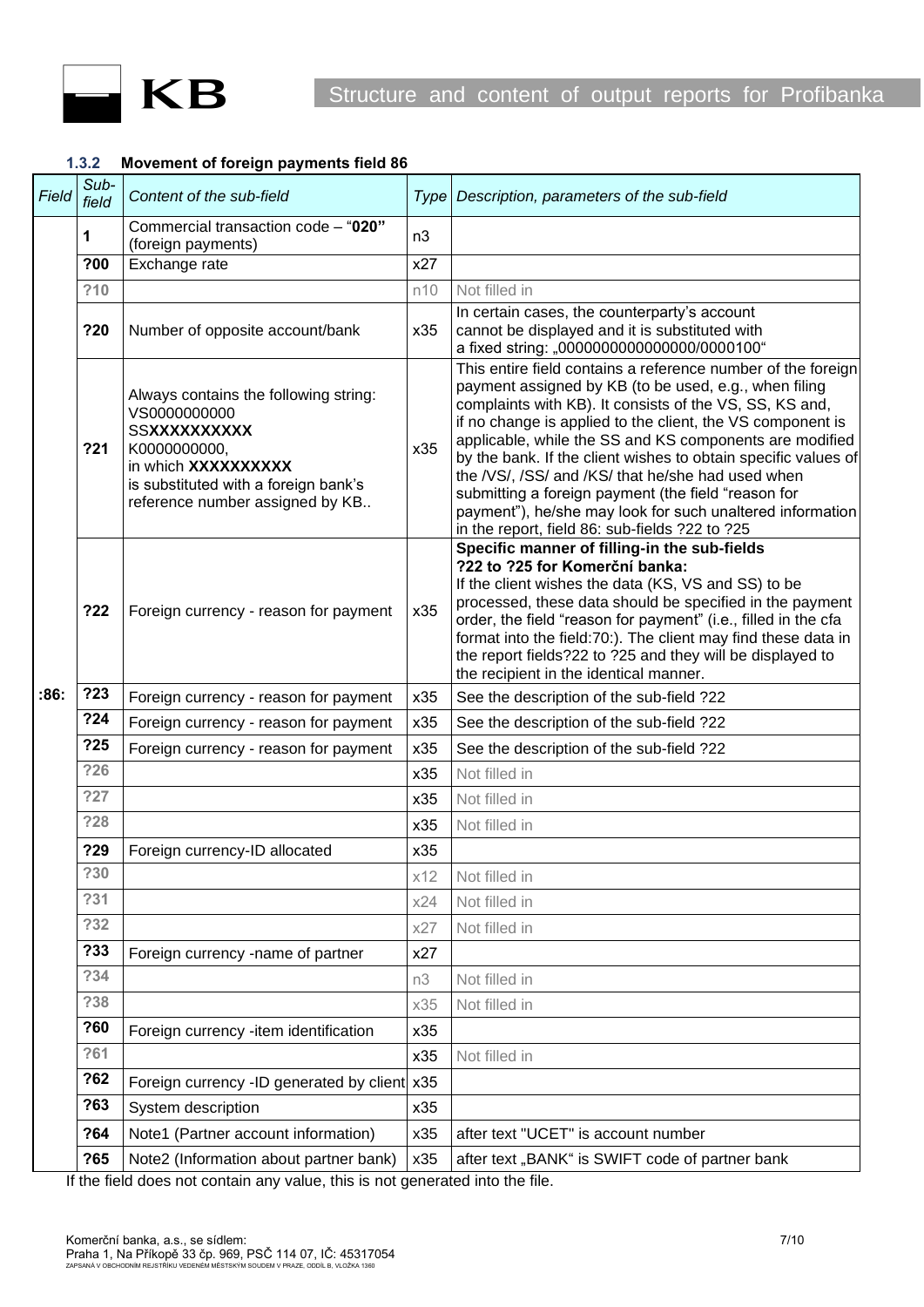

### <span id="page-6-0"></span>**1.3.2 Movement of foreign payments field 86**

| Field | Sub-<br>field | Content of the sub-field                                                                                                                                                                       | <b>Type</b> | Description, parameters of the sub-field                                                                                                                                                                                                                                                                                                                                                                                                                                                                                                                                                               |  |  |
|-------|---------------|------------------------------------------------------------------------------------------------------------------------------------------------------------------------------------------------|-------------|--------------------------------------------------------------------------------------------------------------------------------------------------------------------------------------------------------------------------------------------------------------------------------------------------------------------------------------------------------------------------------------------------------------------------------------------------------------------------------------------------------------------------------------------------------------------------------------------------------|--|--|
|       | 1             | Commercial transaction code - "020"<br>(foreign payments)                                                                                                                                      | n3          |                                                                                                                                                                                                                                                                                                                                                                                                                                                                                                                                                                                                        |  |  |
|       | ?00           | Exchange rate                                                                                                                                                                                  | x27         |                                                                                                                                                                                                                                                                                                                                                                                                                                                                                                                                                                                                        |  |  |
|       | ?10           |                                                                                                                                                                                                | n10         | Not filled in                                                                                                                                                                                                                                                                                                                                                                                                                                                                                                                                                                                          |  |  |
|       | ?20           | Number of opposite account/bank                                                                                                                                                                | x35         | In certain cases, the counterparty's account<br>cannot be displayed and it is substituted with<br>a fixed string: "0000000000000000/0000100"                                                                                                                                                                                                                                                                                                                                                                                                                                                           |  |  |
|       | 221           | Always contains the following string:<br>VS0000000000<br><b>SSXXXXXXXXXX</b><br>K0000000000,<br>in which XXXXXXXXXX<br>is substituted with a foreign bank's<br>reference number assigned by KB | x35         | This entire field contains a reference number of the foreign<br>payment assigned by KB (to be used, e.g., when filing<br>complaints with KB). It consists of the VS, SS, KS and,<br>if no change is applied to the client, the VS component is<br>applicable, while the SS and KS components are modified<br>by the bank. If the client wishes to obtain specific values of<br>the /VS/, /SS/ and /KS/ that he/she had used when<br>submitting a foreign payment (the field "reason for<br>payment"), he/she may look for such unaltered information<br>in the report, field 86: sub-fields ?22 to ?25 |  |  |
|       | 722           | Foreign currency - reason for payment                                                                                                                                                          | x35         | Specific manner of filling-in the sub-fields<br>?22 to ?25 for Komerční banka:<br>If the client wishes the data (KS, VS and SS) to be<br>processed, these data should be specified in the payment<br>order, the field "reason for payment" (i.e., filled in the cfa<br>format into the field:70:). The client may find these data in<br>the report fields?22 to ?25 and they will be displayed to<br>the recipient in the identical manner.                                                                                                                                                            |  |  |
| :86.  | ?23           | Foreign currency - reason for payment                                                                                                                                                          | x35         | See the description of the sub-field ?22                                                                                                                                                                                                                                                                                                                                                                                                                                                                                                                                                               |  |  |
|       | ?24           | Foreign currency - reason for payment                                                                                                                                                          | x35         | See the description of the sub-field ?22                                                                                                                                                                                                                                                                                                                                                                                                                                                                                                                                                               |  |  |
|       | ?25           | Foreign currency - reason for payment                                                                                                                                                          | x35         | See the description of the sub-field ?22                                                                                                                                                                                                                                                                                                                                                                                                                                                                                                                                                               |  |  |
|       | ?26           |                                                                                                                                                                                                | x35         | Not filled in                                                                                                                                                                                                                                                                                                                                                                                                                                                                                                                                                                                          |  |  |
|       | ?27           |                                                                                                                                                                                                | x35         | Not filled in                                                                                                                                                                                                                                                                                                                                                                                                                                                                                                                                                                                          |  |  |
|       | ?28           |                                                                                                                                                                                                | x35         | Not filled in                                                                                                                                                                                                                                                                                                                                                                                                                                                                                                                                                                                          |  |  |
|       | ?29           | Foreign currency-ID allocated                                                                                                                                                                  | x35         |                                                                                                                                                                                                                                                                                                                                                                                                                                                                                                                                                                                                        |  |  |
|       | ?30           |                                                                                                                                                                                                | x12         | Not filled in                                                                                                                                                                                                                                                                                                                                                                                                                                                                                                                                                                                          |  |  |
|       | ?31           |                                                                                                                                                                                                | x24         | Not filled in                                                                                                                                                                                                                                                                                                                                                                                                                                                                                                                                                                                          |  |  |
|       | ?32           |                                                                                                                                                                                                | x27         | Not filled in                                                                                                                                                                                                                                                                                                                                                                                                                                                                                                                                                                                          |  |  |
|       | ?33           | Foreign currency -name of partner                                                                                                                                                              | x27         |                                                                                                                                                                                                                                                                                                                                                                                                                                                                                                                                                                                                        |  |  |
|       | ?34           |                                                                                                                                                                                                | n3          | Not filled in                                                                                                                                                                                                                                                                                                                                                                                                                                                                                                                                                                                          |  |  |
|       | ?38           |                                                                                                                                                                                                | x35         | Not filled in                                                                                                                                                                                                                                                                                                                                                                                                                                                                                                                                                                                          |  |  |
|       | ?60           | Foreign currency -item identification                                                                                                                                                          | x35         |                                                                                                                                                                                                                                                                                                                                                                                                                                                                                                                                                                                                        |  |  |
|       | ?61           |                                                                                                                                                                                                | x35         | Not filled in                                                                                                                                                                                                                                                                                                                                                                                                                                                                                                                                                                                          |  |  |
|       | ?62           | Foreign currency -ID generated by client x35                                                                                                                                                   |             |                                                                                                                                                                                                                                                                                                                                                                                                                                                                                                                                                                                                        |  |  |
|       | ?63           | System description                                                                                                                                                                             | x35         |                                                                                                                                                                                                                                                                                                                                                                                                                                                                                                                                                                                                        |  |  |
|       | ?64           | Note1 (Partner account information)                                                                                                                                                            | x35         | after text "UCET" is account number                                                                                                                                                                                                                                                                                                                                                                                                                                                                                                                                                                    |  |  |
|       | ?65           | Note2 (Information about partner bank)                                                                                                                                                         | x35         | after text "BANK" is SWIFT code of partner bank                                                                                                                                                                                                                                                                                                                                                                                                                                                                                                                                                        |  |  |
|       |               | If the field does not contain any value, this is not generated into the file                                                                                                                   |             |                                                                                                                                                                                                                                                                                                                                                                                                                                                                                                                                                                                                        |  |  |

If the field does not contain any value, this is not generated into the file.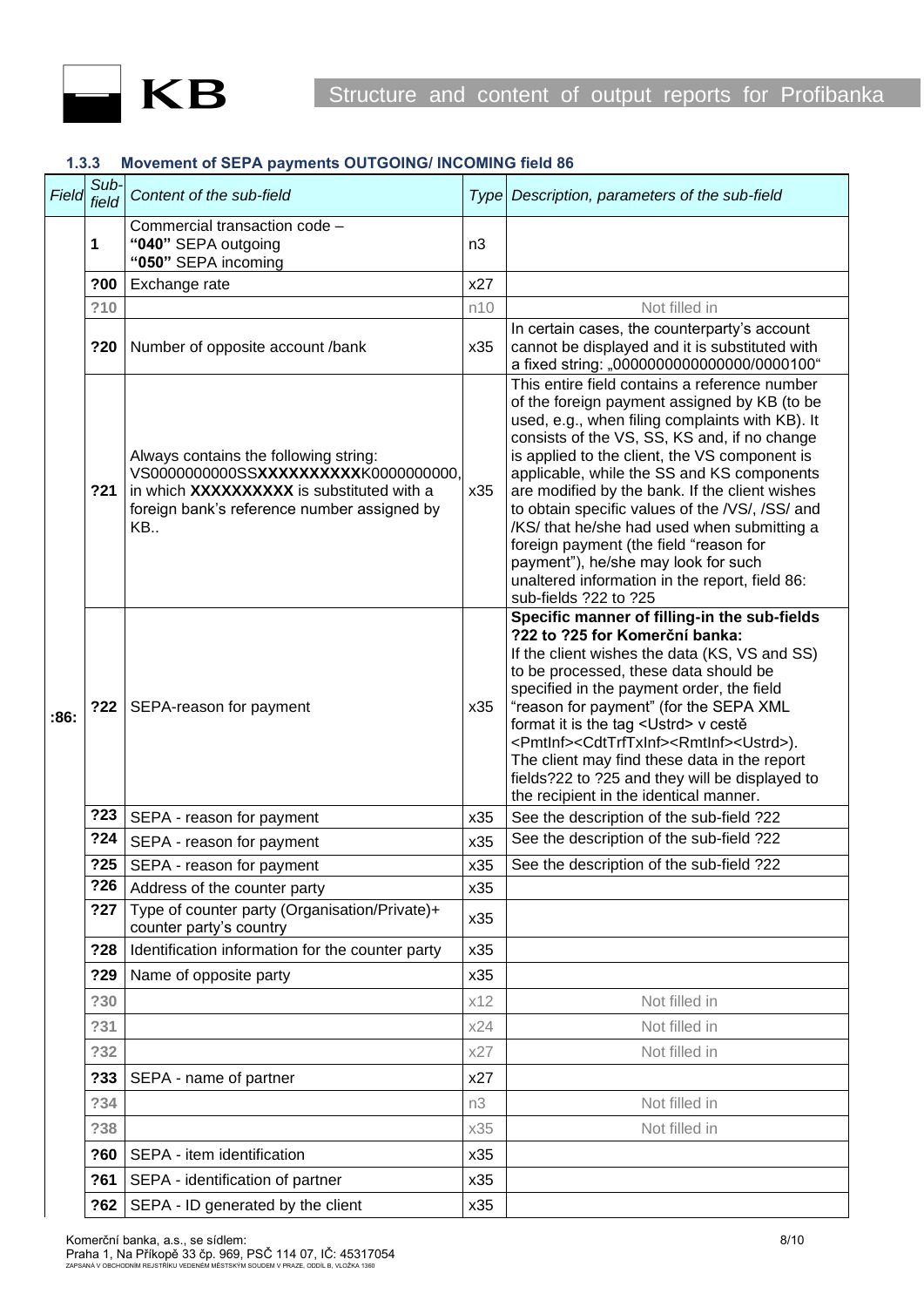

#### <span id="page-7-0"></span>**1.3.3 Movement of SEPA payments OUTGOING/ INCOMING field 86**

| Field | Sub-<br>field | Content of the sub-field                                                                                                                                                          |                | Type Description, parameters of the sub-field                                                                                                                                                                                                                                                                                                                                                                                                                                                                                                                                                                   |
|-------|---------------|-----------------------------------------------------------------------------------------------------------------------------------------------------------------------------------|----------------|-----------------------------------------------------------------------------------------------------------------------------------------------------------------------------------------------------------------------------------------------------------------------------------------------------------------------------------------------------------------------------------------------------------------------------------------------------------------------------------------------------------------------------------------------------------------------------------------------------------------|
|       | 1             | Commercial transaction code -<br>"040" SEPA outgoing<br>"050" SEPA incoming                                                                                                       | n <sub>3</sub> |                                                                                                                                                                                                                                                                                                                                                                                                                                                                                                                                                                                                                 |
|       | ?00           | Exchange rate                                                                                                                                                                     | x27            |                                                                                                                                                                                                                                                                                                                                                                                                                                                                                                                                                                                                                 |
|       | ?10           |                                                                                                                                                                                   | n10            | Not filled in                                                                                                                                                                                                                                                                                                                                                                                                                                                                                                                                                                                                   |
|       | ?20           | Number of opposite account /bank                                                                                                                                                  | x35            | In certain cases, the counterparty's account<br>cannot be displayed and it is substituted with<br>a fixed string: "0000000000000000/0000100"                                                                                                                                                                                                                                                                                                                                                                                                                                                                    |
|       | ?21           | Always contains the following string:<br>VS00000000000SSXXXXXXXXXXK0000000000,<br>in which XXXXXXXXXX is substituted with a<br>foreign bank's reference number assigned by<br>KB. | x35            | This entire field contains a reference number<br>of the foreign payment assigned by KB (to be<br>used, e.g., when filing complaints with KB). It<br>consists of the VS, SS, KS and, if no change<br>is applied to the client, the VS component is<br>applicable, while the SS and KS components<br>are modified by the bank. If the client wishes<br>to obtain specific values of the /VS/, /SS/ and<br>/KS/ that he/she had used when submitting a<br>foreign payment (the field "reason for<br>payment"), he/she may look for such<br>unaltered information in the report, field 86:<br>sub-fields ?22 to ?25 |
| :86:  | ?22           | SEPA-reason for payment                                                                                                                                                           | x35            | Specific manner of filling-in the sub-fields<br>?22 to ?25 for Komerční banka:<br>If the client wishes the data (KS, VS and SS)<br>to be processed, these data should be<br>specified in the payment order, the field<br>"reason for payment" (for the SEPA XML<br>format it is the tag <ustrd> v cestě<br/><pmtlnf><cdttrftxinf><rmtlnf><ustrd>).<br/>The client may find these data in the report<br/>fields?22 to ?25 and they will be displayed to<br/>the recipient in the identical manner.</ustrd></rmtlnf></cdttrftxinf></pmtlnf></ustrd>                                                               |
|       | 223           | SEPA - reason for payment                                                                                                                                                         | x35            | See the description of the sub-field ?22                                                                                                                                                                                                                                                                                                                                                                                                                                                                                                                                                                        |
|       | ?24           | SEPA - reason for payment                                                                                                                                                         | x35            | See the description of the sub-field ?22                                                                                                                                                                                                                                                                                                                                                                                                                                                                                                                                                                        |
|       | ?25           | SEPA - reason for payment                                                                                                                                                         | x35            | See the description of the sub-field ?22                                                                                                                                                                                                                                                                                                                                                                                                                                                                                                                                                                        |
|       | ?26           | Address of the counter party                                                                                                                                                      | x35            |                                                                                                                                                                                                                                                                                                                                                                                                                                                                                                                                                                                                                 |
|       | ?27           | Type of counter party (Organisation/Private)+<br>counter party's country                                                                                                          | x35            |                                                                                                                                                                                                                                                                                                                                                                                                                                                                                                                                                                                                                 |
|       | ?28           | Identification information for the counter party                                                                                                                                  | x35            |                                                                                                                                                                                                                                                                                                                                                                                                                                                                                                                                                                                                                 |
|       | ?29           | Name of opposite party                                                                                                                                                            | x35            |                                                                                                                                                                                                                                                                                                                                                                                                                                                                                                                                                                                                                 |
|       | ?30           |                                                                                                                                                                                   | x12            | Not filled in                                                                                                                                                                                                                                                                                                                                                                                                                                                                                                                                                                                                   |
|       | ?31           |                                                                                                                                                                                   | x24            | Not filled in                                                                                                                                                                                                                                                                                                                                                                                                                                                                                                                                                                                                   |
|       | ?32           |                                                                                                                                                                                   | x27            | Not filled in                                                                                                                                                                                                                                                                                                                                                                                                                                                                                                                                                                                                   |
|       | ?33           | SEPA - name of partner                                                                                                                                                            | x27            |                                                                                                                                                                                                                                                                                                                                                                                                                                                                                                                                                                                                                 |
|       | ?34           |                                                                                                                                                                                   | n3             | Not filled in                                                                                                                                                                                                                                                                                                                                                                                                                                                                                                                                                                                                   |
|       | ?38           |                                                                                                                                                                                   | x35            | Not filled in                                                                                                                                                                                                                                                                                                                                                                                                                                                                                                                                                                                                   |
|       | ?60           | SEPA - item identification                                                                                                                                                        | x35            |                                                                                                                                                                                                                                                                                                                                                                                                                                                                                                                                                                                                                 |
|       | ?61           | SEPA - identification of partner                                                                                                                                                  | x35            |                                                                                                                                                                                                                                                                                                                                                                                                                                                                                                                                                                                                                 |
|       | ?62           | SEPA - ID generated by the client                                                                                                                                                 | x35            |                                                                                                                                                                                                                                                                                                                                                                                                                                                                                                                                                                                                                 |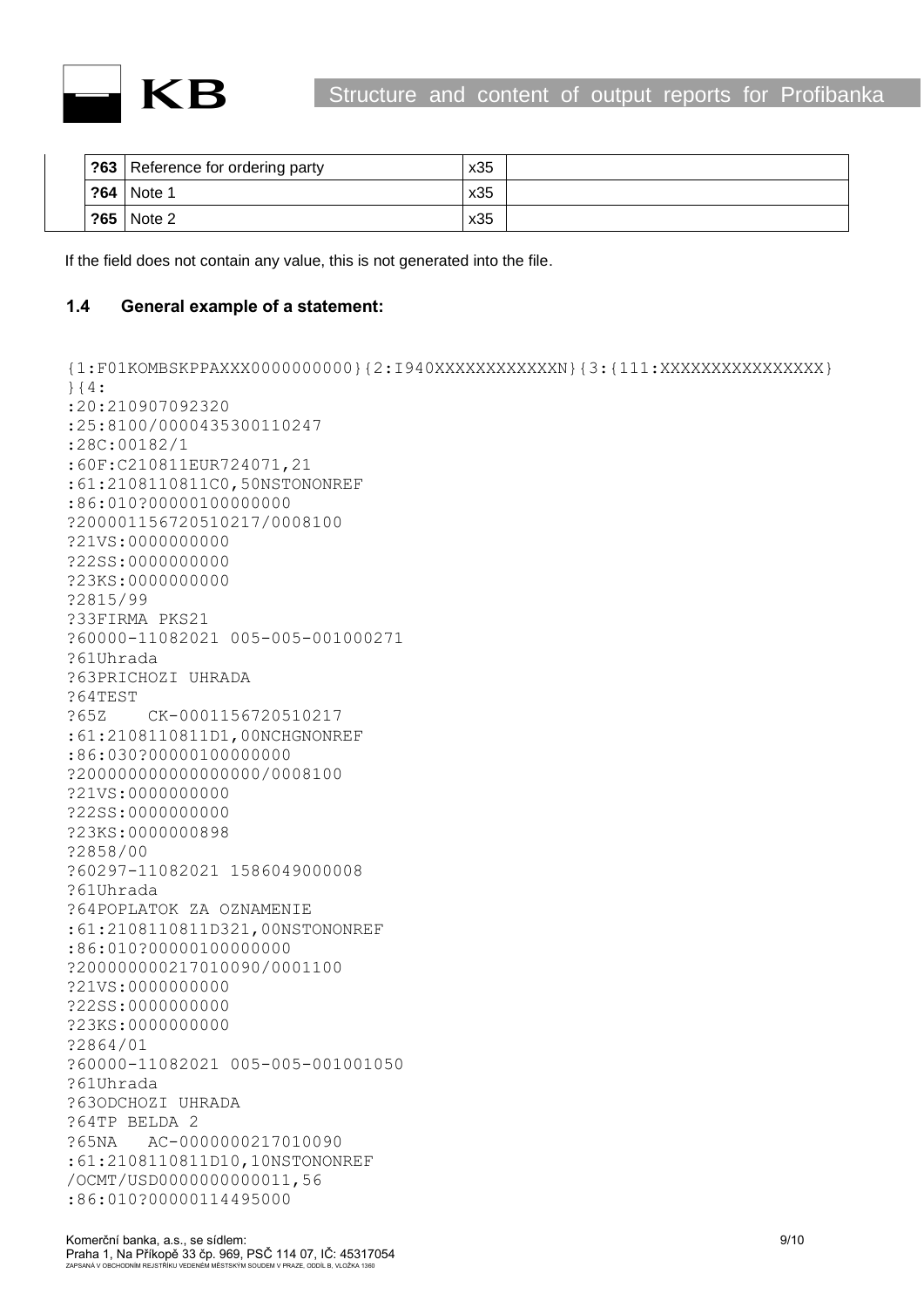

| ?63 | Reference for ordering party | x35 |  |
|-----|------------------------------|-----|--|
| ?64 | Note 1                       | x35 |  |
| ?65 | Note 2                       | x35 |  |

If the field does not contain any value, this is not generated into the file.

## <span id="page-8-0"></span>**1.4 General example of a statement:**

```
{1:F01KOMBSKPPAXXX0000000000}{2:I940XXXXXXXXXXXXN}{3:{111:XXXXXXXXXXXXXXXX}
}{4:
:20:210907092320
:25:8100/0000435300110247
:28C:00182/1
:60F:C210811EUR724071,21
:61:2108110811C0,50NSTONONREF
:86:010?00000100000000
?200001156720510217/0008100
?21VS:0000000000
?22SS:0000000000
?23KS:0000000000
?2815/99
?33FIRMA PKS21
?60000-11082021 005-005-001000271
?61Uhrada
?63PRICHOZI UHRADA
?64TEST
?65Z CK-0001156720510217
:61:2108110811D1,00NCHGNONREF
:86:030?00000100000000
?200000000000000000/0008100
?21VS:0000000000
?22SS:0000000000
?23KS:0000000898
?2858/00
?60297-11082021 1586049000008
?61Uhrada
?64POPLATOK ZA OZNAMENIE
:61:2108110811D321,00NSTONONREF
:86:010?00000100000000
?200000000217010090/0001100
?21VS:0000000000
?22SS:0000000000
?23KS:0000000000
?2864/01
?60000-11082021 005-005-001001050
?61Uhrada
?63ODCHOZI UHRADA
?64TP BELDA 2
?65NA AC-0000000217010090
:61:2108110811D10,10NSTONONREF
/OCMT/USD0000000000011,56
:86:010?00000114495000
```